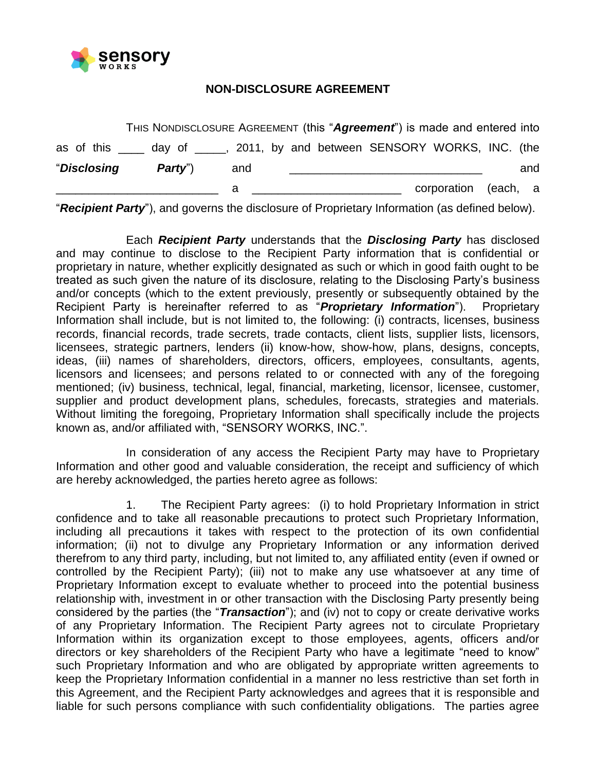

## **NON-DISCLOSURE AGREEMENT**

|                    |                                                                              |     |  | corporation (each, a |     |
|--------------------|------------------------------------------------------------------------------|-----|--|----------------------|-----|
| <i>"Disclosing</i> | PartV'                                                                       | and |  |                      | and |
|                    | as of this _____ day of _____, 2011, by and between SENSORY WORKS, INC. (the |     |  |                      |     |
|                    | THIS NONDISCLOSURE AGREEMENT (this "Agreement") is made and entered into     |     |  |                      |     |

"*Recipient Party*"), and governs the disclosure of Proprietary Information (as defined below).

Each *Recipient Party* understands that the *Disclosing Party* has disclosed and may continue to disclose to the Recipient Party information that is confidential or proprietary in nature, whether explicitly designated as such or which in good faith ought to be treated as such given the nature of its disclosure, relating to the Disclosing Party's business and/or concepts (which to the extent previously, presently or subsequently obtained by the Recipient Party is hereinafter referred to as "*Proprietary Information*"). Proprietary Information shall include, but is not limited to, the following: (i) contracts, licenses, business records, financial records, trade secrets, trade contacts, client lists, supplier lists, licensors, licensees, strategic partners, lenders (ii) know-how, show-how, plans, designs, concepts, ideas, (iii) names of shareholders, directors, officers, employees, consultants, agents, licensors and licensees; and persons related to or connected with any of the foregoing mentioned; (iv) business, technical, legal, financial, marketing, licensor, licensee, customer, supplier and product development plans, schedules, forecasts, strategies and materials. Without limiting the foregoing, Proprietary Information shall specifically include the projects known as, and/or affiliated with, "SENSORY WORKS, INC.".

In consideration of any access the Recipient Party may have to Proprietary Information and other good and valuable consideration, the receipt and sufficiency of which are hereby acknowledged, the parties hereto agree as follows:

1. The Recipient Party agrees: (i) to hold Proprietary Information in strict confidence and to take all reasonable precautions to protect such Proprietary Information, including all precautions it takes with respect to the protection of its own confidential information; (ii) not to divulge any Proprietary Information or any information derived therefrom to any third party, including, but not limited to, any affiliated entity (even if owned or controlled by the Recipient Party); (iii) not to make any use whatsoever at any time of Proprietary Information except to evaluate whether to proceed into the potential business relationship with, investment in or other transaction with the Disclosing Party presently being considered by the parties (the "*Transaction*"); and (iv) not to copy or create derivative works of any Proprietary Information. The Recipient Party agrees not to circulate Proprietary Information within its organization except to those employees, agents, officers and/or directors or key shareholders of the Recipient Party who have a legitimate "need to know" such Proprietary Information and who are obligated by appropriate written agreements to keep the Proprietary Information confidential in a manner no less restrictive than set forth in this Agreement, and the Recipient Party acknowledges and agrees that it is responsible and liable for such persons compliance with such confidentiality obligations. The parties agree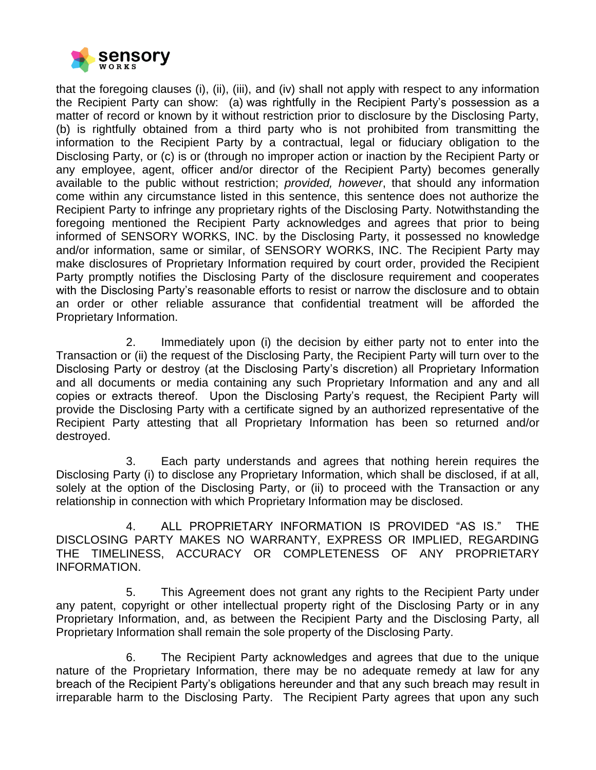

that the foregoing clauses (i), (ii), (iii), and (iv) shall not apply with respect to any information the Recipient Party can show: (a) was rightfully in the Recipient Party's possession as a matter of record or known by it without restriction prior to disclosure by the Disclosing Party, (b) is rightfully obtained from a third party who is not prohibited from transmitting the information to the Recipient Party by a contractual, legal or fiduciary obligation to the Disclosing Party, or (c) is or (through no improper action or inaction by the Recipient Party or any employee, agent, officer and/or director of the Recipient Party) becomes generally available to the public without restriction; *provided, however*, that should any information come within any circumstance listed in this sentence, this sentence does not authorize the Recipient Party to infringe any proprietary rights of the Disclosing Party. Notwithstanding the foregoing mentioned the Recipient Party acknowledges and agrees that prior to being informed of SENSORY WORKS, INC. by the Disclosing Party, it possessed no knowledge and/or information, same or similar, of SENSORY WORKS, INC. The Recipient Party may make disclosures of Proprietary Information required by court order, provided the Recipient Party promptly notifies the Disclosing Party of the disclosure requirement and cooperates with the Disclosing Party's reasonable efforts to resist or narrow the disclosure and to obtain an order or other reliable assurance that confidential treatment will be afforded the Proprietary Information.

2. Immediately upon (i) the decision by either party not to enter into the Transaction or (ii) the request of the Disclosing Party, the Recipient Party will turn over to the Disclosing Party or destroy (at the Disclosing Party's discretion) all Proprietary Information and all documents or media containing any such Proprietary Information and any and all copies or extracts thereof. Upon the Disclosing Party's request, the Recipient Party will provide the Disclosing Party with a certificate signed by an authorized representative of the Recipient Party attesting that all Proprietary Information has been so returned and/or destroyed.

3. Each party understands and agrees that nothing herein requires the Disclosing Party (i) to disclose any Proprietary Information, which shall be disclosed, if at all, solely at the option of the Disclosing Party, or (ii) to proceed with the Transaction or any relationship in connection with which Proprietary Information may be disclosed.

4. ALL PROPRIETARY INFORMATION IS PROVIDED "AS IS." THE DISCLOSING PARTY MAKES NO WARRANTY, EXPRESS OR IMPLIED, REGARDING THE TIMELINESS, ACCURACY OR COMPLETENESS OF ANY PROPRIETARY INFORMATION.

5. This Agreement does not grant any rights to the Recipient Party under any patent, copyright or other intellectual property right of the Disclosing Party or in any Proprietary Information, and, as between the Recipient Party and the Disclosing Party, all Proprietary Information shall remain the sole property of the Disclosing Party.

6. The Recipient Party acknowledges and agrees that due to the unique nature of the Proprietary Information, there may be no adequate remedy at law for any breach of the Recipient Party's obligations hereunder and that any such breach may result in irreparable harm to the Disclosing Party. The Recipient Party agrees that upon any such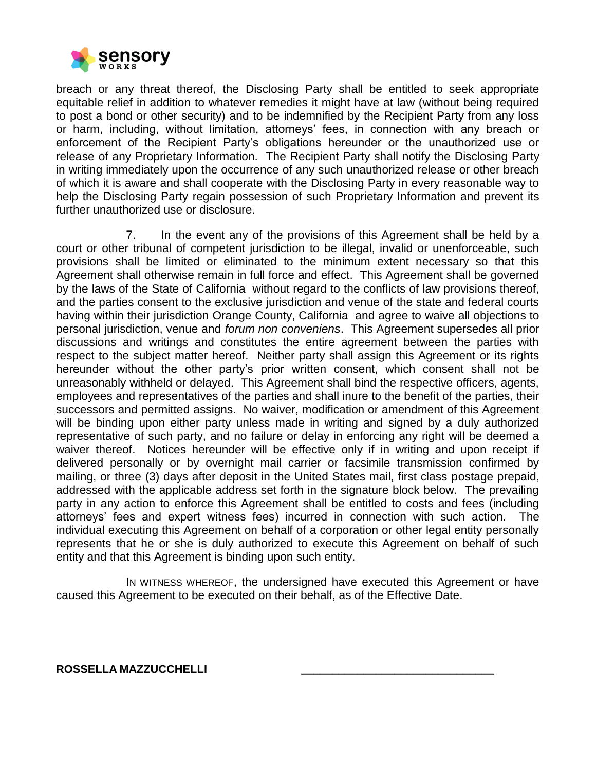

breach or any threat thereof, the Disclosing Party shall be entitled to seek appropriate equitable relief in addition to whatever remedies it might have at law (without being required to post a bond or other security) and to be indemnified by the Recipient Party from any loss or harm, including, without limitation, attorneys' fees, in connection with any breach or enforcement of the Recipient Party's obligations hereunder or the unauthorized use or release of any Proprietary Information. The Recipient Party shall notify the Disclosing Party in writing immediately upon the occurrence of any such unauthorized release or other breach of which it is aware and shall cooperate with the Disclosing Party in every reasonable way to help the Disclosing Party regain possession of such Proprietary Information and prevent its further unauthorized use or disclosure.

7. In the event any of the provisions of this Agreement shall be held by a court or other tribunal of competent jurisdiction to be illegal, invalid or unenforceable, such provisions shall be limited or eliminated to the minimum extent necessary so that this Agreement shall otherwise remain in full force and effect. This Agreement shall be governed by the laws of the State of California without regard to the conflicts of law provisions thereof, and the parties consent to the exclusive jurisdiction and venue of the state and federal courts having within their jurisdiction Orange County, California and agree to waive all objections to personal jurisdiction, venue and *forum non conveniens*. This Agreement supersedes all prior discussions and writings and constitutes the entire agreement between the parties with respect to the subject matter hereof. Neither party shall assign this Agreement or its rights hereunder without the other party's prior written consent, which consent shall not be unreasonably withheld or delayed. This Agreement shall bind the respective officers, agents, employees and representatives of the parties and shall inure to the benefit of the parties, their successors and permitted assigns. No waiver, modification or amendment of this Agreement will be binding upon either party unless made in writing and signed by a duly authorized representative of such party, and no failure or delay in enforcing any right will be deemed a waiver thereof. Notices hereunder will be effective only if in writing and upon receipt if delivered personally or by overnight mail carrier or facsimile transmission confirmed by mailing, or three (3) days after deposit in the United States mail, first class postage prepaid, addressed with the applicable address set forth in the signature block below. The prevailing party in any action to enforce this Agreement shall be entitled to costs and fees (including attorneys' fees and expert witness fees) incurred in connection with such action. The individual executing this Agreement on behalf of a corporation or other legal entity personally represents that he or she is duly authorized to execute this Agreement on behalf of such entity and that this Agreement is binding upon such entity.

IN WITNESS WHEREOF, the undersigned have executed this Agreement or have caused this Agreement to be executed on their behalf, as of the Effective Date.

## **ROSSELLA MAZZUCCHELLI \_\_\_\_\_\_\_\_\_\_\_\_\_\_\_\_\_\_\_\_\_\_\_\_\_\_\_\_\_\_\_**